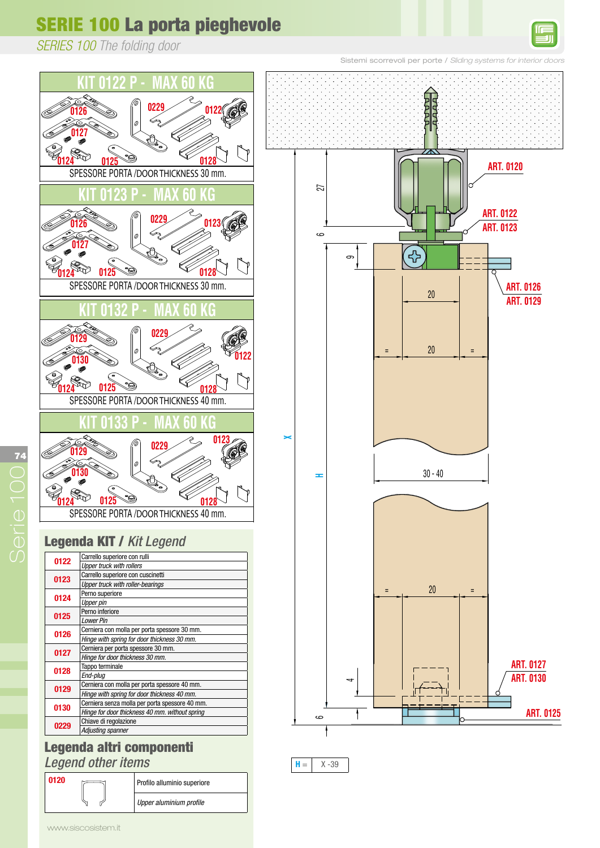*SERIES 100 The folding door*





**ART. 0120 Upper alluminio superior** 

*Upper aluminium profile*

ART. 0120 Upper aluminium profile

**0120** Profilo alluminio superiore



 $H = \begin{vmatrix} X - 39 \end{vmatrix}$ 

 $\geq$ 

 $\mathcal{H} = \mathcal{H} \times \mathcal{H}$ 

 $\frac{1}{2}$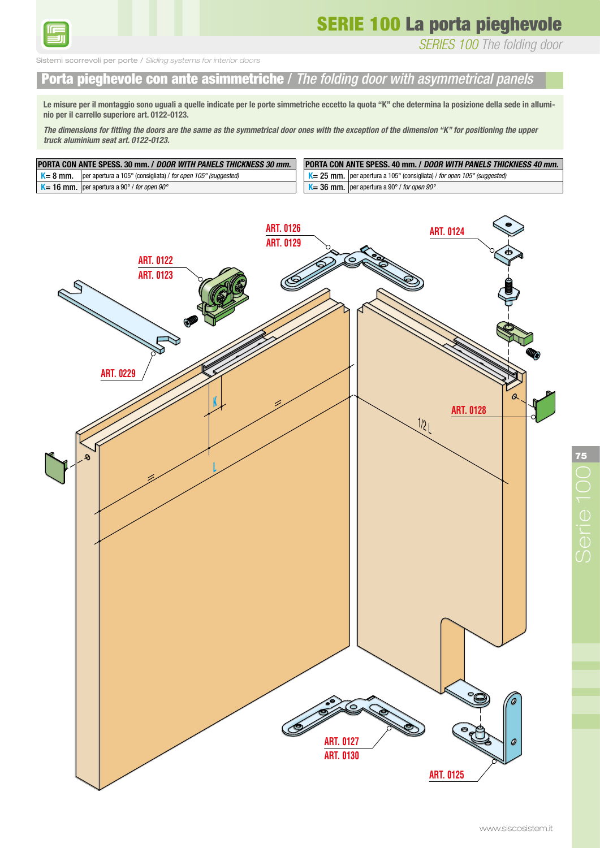

THE FOLDING DOOR WITH ASYMMETRICAL PANELS

*SERIES 100 The folding door*

orrevoli per porte / *Sliding systems for interior doors* PORTA PIEGHEVOLE CON ANTE ASIMMETRICHE

#### Porta pieghevole con ante asimmetriche / *The folding door with asymmetrical panels* Le misure per il montaggio sono uguali a quelle indicate per le porte simmetriche eccetto la quota "K" che determina la posizione della

Le misure per il montaggio sono uguali a quelle indicate per le porte simmetriche eccetto la quota "K" che determina la posizione della sede in allumi-**The dimensions for fitting the superiore art. 0122-0123.**<br>The doors are the symmetrical door ones with the symmetrical door ones with the exception of the symmetrical do

The dimensions for fitting the doors are the same as the symmetrical door ones with the exception of the dimension "K" for positioning the upper *truck aluminium seat art. 0122-0123.*

| <b>PORTA CON ANTE SPESS, 30 mm, / DOOR WITH PANELS THICKNESS 30 mm.</b>                            | <b>PORTA CON ANTE SPESS, 40 mm, / DOOR WITH PANELS THICKNESS 40 mm,</b>                                   |  |
|----------------------------------------------------------------------------------------------------|-----------------------------------------------------------------------------------------------------------|--|
| $K = 8$ mm.<br>  per apertura a 105 $^{\circ}$ (consigliata) / for open 105 $^{\circ}$ (suggested) | $\mathsf{K} = 25$ mm.   per apertura a 105 $^{\circ}$ (consigliata) / for open 105 $^{\circ}$ (suggested) |  |
| $K = 16$ mm.   per apertura a 90° / for open 90°                                                   | $K = 36$ mm.   per apertura a 90° / for open 90°                                                          |  |

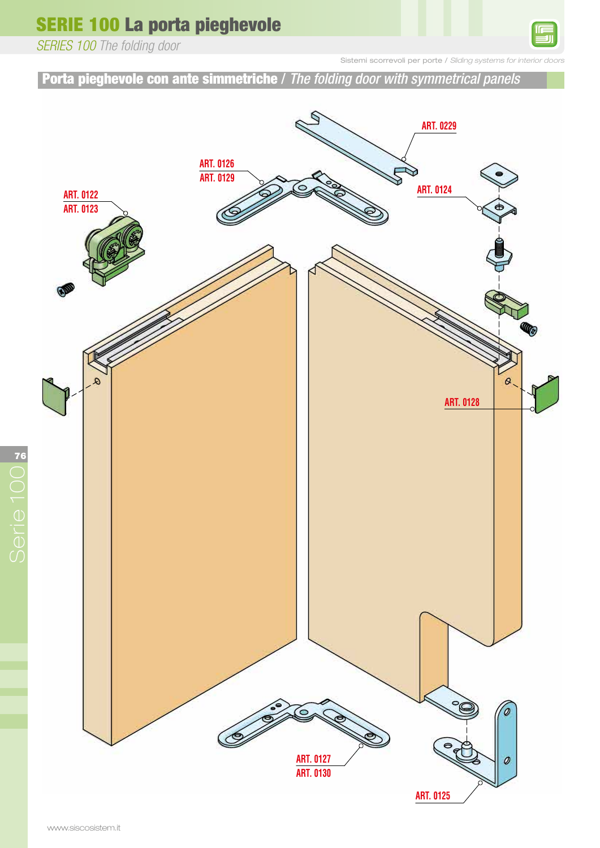*SERIES 100 The folding door*

Sistemi scorrevoli per porte / Sliding systems for

Porta pieghevole con ante simmetriche / *The folding door with symmetrical panels*

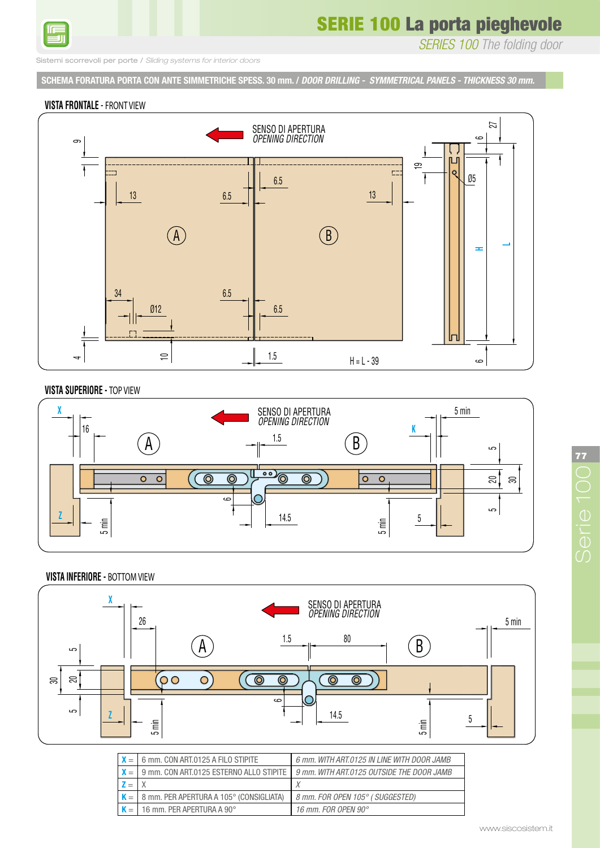

*SERIES 100 The folding door*

Sistemi scorrevoli per porte / *Sliding systems for interior doors*

**SCHEMA FORATURA PORTA CON ANTE SIMMETRICHE SPESS. 30 mm. /** *DOOR DRILLING - SYMMETRICAL PANELS - THICKNESS 30 mm.* SCHEMA FORATURA PORTA CON ANTE SIMMETRICHE SPESS. 30 mm.

DOOR DRILLING - SYMMETRICAL PANELS - THICKNESS 30 mm.

#### **VISTA FRONTALE** - **FRONT VIEW**



#### **VISTA SUPERIORE - TOP VIEW**



#### **VISTA INFERIORE - BOTTOM VIEW**



| $X =$          | 6 mm, CON ART.0125 A FILO STIPITE               | 6 mm. WITH ART.0125 IN LINE WITH DOOR JAMB                                          |
|----------------|-------------------------------------------------|-------------------------------------------------------------------------------------|
| $X =$          |                                                 | 9 mm, CON ART.0125 ESTERNO ALLO STIPITE 1 9 mm, WITH ART.0125 OUTSIDE THE DOOR JAMB |
| $\mathbf{z} =$ |                                                 |                                                                                     |
|                | $K =   8$ mm. PER APERTURA A 105° (CONSIGLIATA) | 8 mm. FOR OPEN 105° ( SUGGESTED)                                                    |
| $K =$          | $\parallel$ 16 mm. PER APERTURA A 90 $^{\circ}$ | 16 mm. FOR OPEN 90°                                                                 |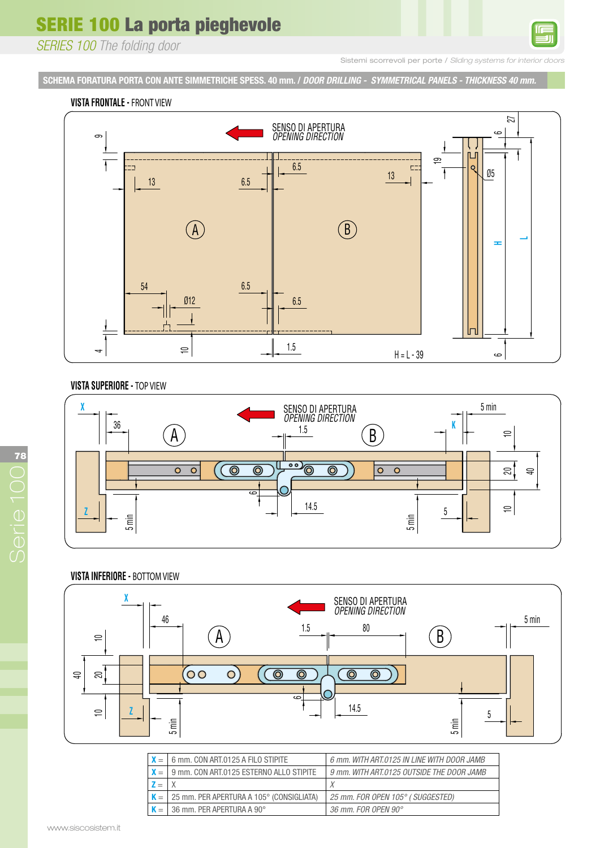*SERIES 100 The folding door*

Sistemi scorrevoli per porte / *Sliding systems for interior* 

SCHEMA FORATURA PORTA CON ANTE SIMMETRICHE SPESS. 40 mm. / *DOOR DRILLING - SYMMETRICAL PANELS - THICKNESS 40 mm.*<br>. SCHEMA FORATURA PORTA CON ANTE SIMMETRICHE SPESS. 40 mm.

### **VISTA FRONTALE - FRONT VIEW**



#### **VISTA SUPERIORE - TOP VIEW**



#### **VISTA INFERIORE - BOTTOM VIEW**



|       | 6 mm. CON ART.0125 A FILO STIPITE        | 6 mm. WITH ART.0125 IN LINE WITH DOOR JAMB |
|-------|------------------------------------------|--------------------------------------------|
| $X =$ | 9 mm. CON ART.0125 ESTERNO ALLO STIPITE  | 9 mm. WITH ART.0125 OUTSIDE THE DOOR JAMB  |
|       |                                          |                                            |
|       | 25 mm. PER APERTURA A 105° (CONSIGLIATA) | 25 mm. FOR OPEN 105° ( SUGGESTED)          |
|       | 36 mm. PER APERTURA A 90°                | 36 mm. FOR OPEN 90°                        |